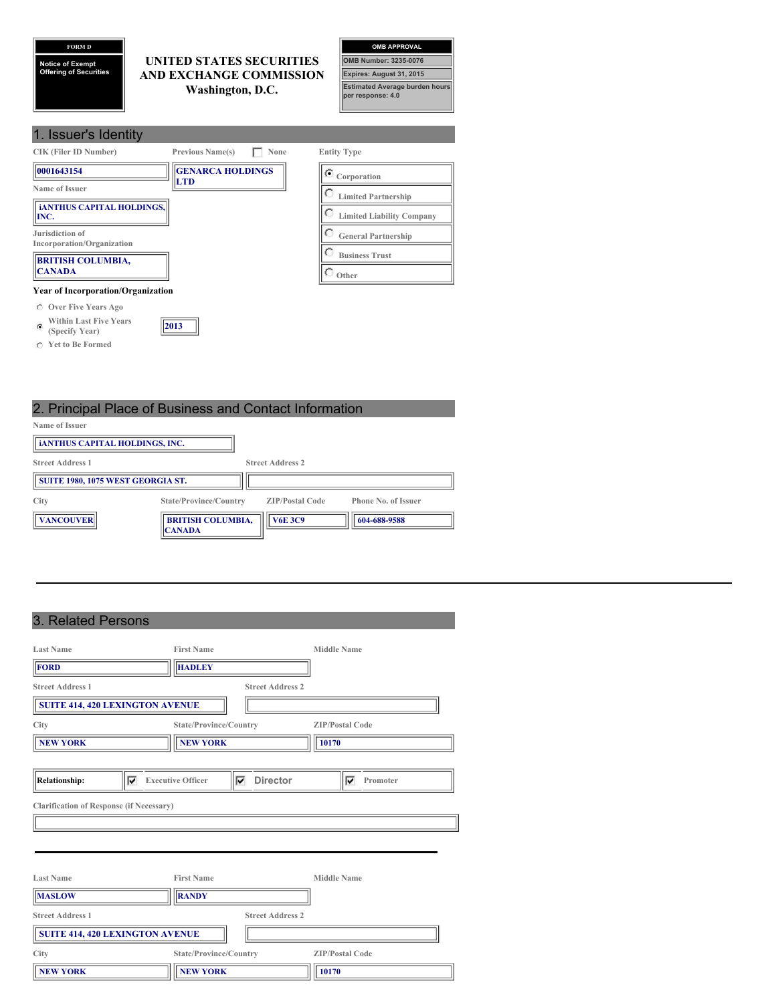## **FORM D**

**Notice of Exempt Offering of Securities**

**Yet to Be Formed**

## **UNITED STATES SECURITIES AND EXCHANGE COMMISSION Washington, D.C.**



| 1. Issuer's Identity                                 |                         |      |                                  |
|------------------------------------------------------|-------------------------|------|----------------------------------|
| <b>CIK (Filer ID Number)</b>                         | <b>Previous Name(s)</b> | None | <b>Entity Type</b>               |
| 0001643154                                           | <b>GENARCA HOLDINGS</b> |      | $\bullet$ Corporation            |
| Name of Issuer                                       | <b>LTD</b>              |      | <b>Limited Partnership</b>       |
| <b>iANTHUS CAPITAL HOLDINGS.</b><br>INC.             |                         |      | <b>Limited Liability Company</b> |
| Jurisdiction of<br>Incorporation/Organization        |                         |      | <b>General Partnership</b>       |
| <b>BRITISH COLUMBIA,</b>                             |                         |      | <b>Business Trust</b>            |
| <b>CANADA</b>                                        |                         |      | Other                            |
| <b>Year of Incorporation/Organization</b>            |                         |      |                                  |
| Over Five Years Ago<br>C                             |                         |      |                                  |
| <b>Within Last Five Years</b><br>c<br>(Specify Year) | 2013                    |      |                                  |

# 2. Principal Place of Business and Contact Information

| Name of Issuer                        |                                           |                         |                            |
|---------------------------------------|-------------------------------------------|-------------------------|----------------------------|
| <b>iANTHUS CAPITAL HOLDINGS, INC.</b> |                                           |                         |                            |
| <b>Street Address 1</b>               |                                           | <b>Street Address 2</b> |                            |
| SUITE 1980, 1075 WEST GEORGIA ST.     |                                           |                         |                            |
| City                                  | State/Province/Country                    | <b>ZIP/Postal Code</b>  | <b>Phone No. of Issuer</b> |
| <b>VANCOUVER</b>                      | <b>BRITISH COLUMBIA,</b><br><b>CANADA</b> | <b>V6E 3C9</b>          | 604-688-9588               |

## 3. Related Persons

| $\ldots$                                        |                                                  |                         |
|-------------------------------------------------|--------------------------------------------------|-------------------------|
| <b>Last Name</b>                                | <b>First Name</b>                                | <b>Middle Name</b>      |
| <b>FORD</b>                                     | <b>HADLEY</b>                                    |                         |
| <b>Street Address 1</b>                         |                                                  | <b>Street Address 2</b> |
| <b>SUITE 414, 420 LEXINGTON AVENUE</b>          |                                                  |                         |
| City                                            | State/Province/Country                           | <b>ZIP/Postal Code</b>  |
| <b>NEW YORK</b>                                 | <b>NEW YORK</b>                                  | 10170                   |
|                                                 |                                                  |                         |
| <b>Relationship:</b><br> ⊽                      | <b>Director</b><br><b>Executive Officer</b><br>⊽ | Promoter<br>⊽           |
| <b>Clarification of Response (if Necessary)</b> |                                                  |                         |
|                                                 |                                                  |                         |
|                                                 |                                                  |                         |
|                                                 |                                                  |                         |
| <b>Last Name</b>                                | <b>First Name</b>                                | <b>Middle Name</b>      |
| <b>MASLOW</b>                                   | <b>RANDY</b>                                     |                         |
| <b>Street Address 1</b>                         |                                                  | <b>Street Address 2</b> |
| <b>SUITE 414, 420 LEXINGTON AVENUE</b>          |                                                  |                         |
| City                                            | State/Province/Country                           | <b>ZIP/Postal Code</b>  |
| <b>NEW YORK</b>                                 | <b>NEW YORK</b>                                  | 10170                   |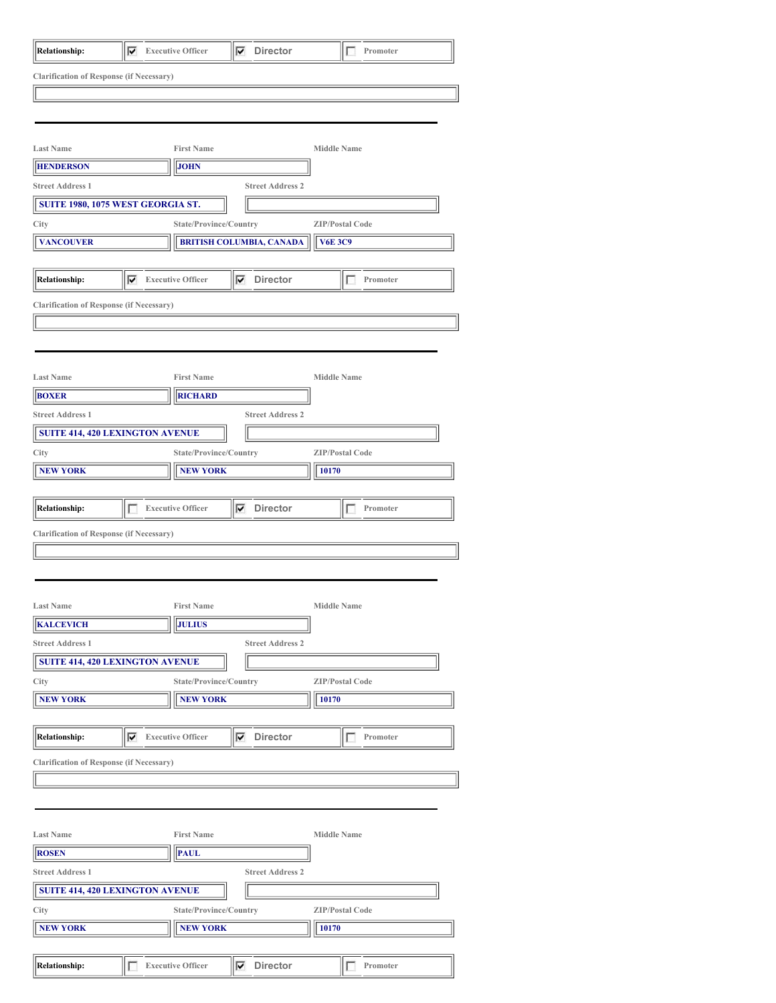| <b>Relationship:</b>                            | ⊽ | <b>Executive Officer</b> | <b>Director</b><br>⊽            |                    | Promoter               |  |
|-------------------------------------------------|---|--------------------------|---------------------------------|--------------------|------------------------|--|
| <b>Clarification of Response (if Necessary)</b> |   |                          |                                 |                    |                        |  |
|                                                 |   |                          |                                 |                    |                        |  |
|                                                 |   |                          |                                 |                    |                        |  |
|                                                 |   |                          |                                 |                    |                        |  |
| <b>Last Name</b>                                |   | <b>First Name</b>        |                                 | <b>Middle Name</b> |                        |  |
| <b>HENDERSON</b>                                |   | <b>JOHN</b>              |                                 |                    |                        |  |
| <b>Street Address 1</b>                         |   |                          | <b>Street Address 2</b>         |                    |                        |  |
| SUITE 1980, 1075 WEST GEORGIA ST.               |   |                          |                                 |                    |                        |  |
| City                                            |   | State/Province/Country   |                                 |                    | <b>ZIP/Postal Code</b> |  |
| <b>VANCOUVER</b>                                |   |                          | <b>BRITISH COLUMBIA, CANADA</b> | <b>V6E 3C9</b>     |                        |  |
|                                                 |   |                          |                                 |                    |                        |  |
| <b>Relationship:</b>                            | ⊽ | <b>Executive Officer</b> | <b>Director</b><br>⊽            |                    | Promoter<br>4          |  |
|                                                 |   |                          |                                 |                    |                        |  |
| <b>Clarification of Response (if Necessary)</b> |   |                          |                                 |                    |                        |  |
|                                                 |   |                          |                                 |                    |                        |  |
|                                                 |   |                          |                                 |                    |                        |  |
|                                                 |   |                          |                                 |                    |                        |  |
| <b>Last Name</b>                                |   | <b>First Name</b>        |                                 | <b>Middle Name</b> |                        |  |
| <b>BOXER</b>                                    |   | <b>RICHARD</b>           |                                 |                    |                        |  |
| <b>Street Address 1</b>                         |   |                          | <b>Street Address 2</b>         |                    |                        |  |
| <b>SUITE 414, 420 LEXINGTON AVENUE</b>          |   |                          |                                 |                    |                        |  |
| City                                            |   | State/Province/Country   |                                 |                    | <b>ZIP/Postal Code</b> |  |
| <b>NEW YORK</b>                                 |   | <b>NEW YORK</b>          |                                 | 10170              |                        |  |
|                                                 |   |                          |                                 |                    |                        |  |
| <b>Relationship:</b>                            | г | <b>Executive Officer</b> | <b>Director</b><br>⊽            |                    | Promoter               |  |
| <b>Clarification of Response (if Necessary)</b> |   |                          |                                 |                    |                        |  |
|                                                 |   |                          |                                 |                    |                        |  |
|                                                 |   |                          |                                 |                    |                        |  |
|                                                 |   |                          |                                 |                    |                        |  |
| <b>Last Name</b>                                |   | <b>First Name</b>        |                                 | <b>Middle Name</b> |                        |  |
| <b>KALCEVICH</b>                                |   | <b>JULIUS</b>            |                                 |                    |                        |  |
| <b>Street Address 1</b>                         |   |                          | <b>Street Address 2</b>         |                    |                        |  |
| <b>SUITE 414, 420 LEXINGTON AVENUE</b>          |   |                          |                                 |                    |                        |  |
| City                                            |   | State/Province/Country   |                                 |                    | <b>ZIP/Postal Code</b> |  |
| <b>NEW YORK</b>                                 |   | <b>NEW YORK</b>          |                                 | 10170              |                        |  |
|                                                 |   |                          |                                 |                    |                        |  |
| <b>Relationship:</b>                            | ⊽ | <b>Executive Officer</b> | <b>Director</b><br>1∽           |                    | г<br>Promoter          |  |
| <b>Clarification of Response (if Necessary)</b> |   |                          |                                 |                    |                        |  |
|                                                 |   |                          |                                 |                    |                        |  |
|                                                 |   |                          |                                 |                    |                        |  |
|                                                 |   |                          |                                 |                    |                        |  |
| <b>Last Name</b>                                |   | <b>First Name</b>        |                                 | <b>Middle Name</b> |                        |  |
| <b>ROSEN</b>                                    |   | <b>PAUL</b>              |                                 |                    |                        |  |
| <b>Street Address 1</b>                         |   |                          | <b>Street Address 2</b>         |                    |                        |  |
| <b>SUITE 414, 420 LEXINGTON AVENUE</b>          |   |                          |                                 |                    |                        |  |
|                                                 |   |                          |                                 |                    |                        |  |
| City                                            |   | State/Province/Country   |                                 |                    | <b>ZIP/Postal Code</b> |  |
| <b>NEW YORK</b>                                 |   | <b>NEW YORK</b>          |                                 | 10170              |                        |  |
|                                                 |   |                          |                                 |                    |                        |  |
| <b>Relationship:</b>                            | г | <b>Executive Officer</b> | $\nabla$ Director               |                    | п<br>Promoter          |  |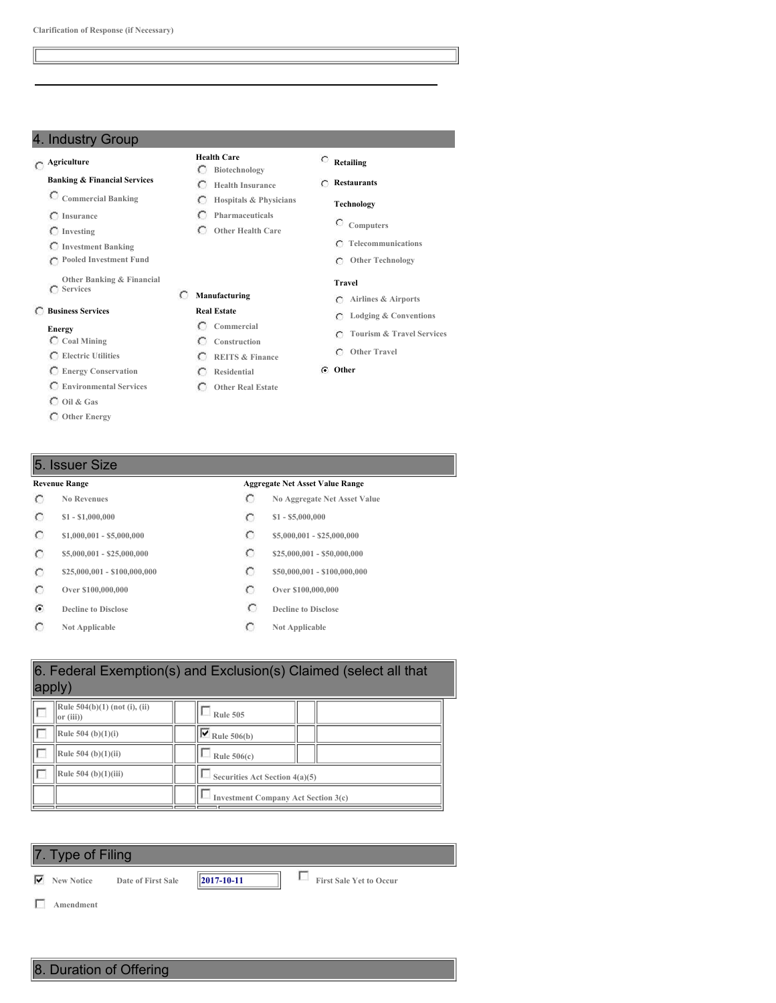## 4. Industry Group

## **Agriculture**

**Banking & Financial Services**

- **Commercial Banking**
- **Insurance**
- **Investing**
- **Investment Banking**
- **Pooled Investment Fund**
- **Other Banking & Financial Services**

## **Business Services**

#### **Energy**

- **Coal Mining**
- **Electric Utilities**
- **Energy Conservation Environmental Services**
- 
- **Oil & Gas**
- **Other Energy**

## **Health Care**

- **Biotechnology Health Insurance**
- $\circ$ **Hospitals & Physicians**
- $\circ$ **Pharmaceuticals**
- **Other Health Care**

**REITS & Finance Residential Other Real Estate**

**Real Estate**

**Restaurants**

## **Technology**

**Retailing**

- **Computers**
	- **Telecommunications**
	- **Other Technology**

## **Travel**

- **Airlines & Airports**
- **Lodging & Conventions**
- **Tourism & Travel Services**
- **Other Travel**

## **Other**

## 5. Issuer Size

- $\circ$
- $\circ$
- $\circ$
- $\circ$
- $\circ$
- $\circ$
- $\mathcal{C}$
- $\circ$

### **Revenue Range Aggregate Net Asset Value Range**

- **No Revenues No Aggregate Net Asset Value**
- **\$1 - \$1,000,000 \$1 - \$5,000,000**
- **\$1,000,001 - \$5,000,000 \$5,000,000 \$5,000,001 \$25,000,000**
- **\$5,000,001 - \$25,000,000 \$25,000,001 \$25,000,000 \$25,000,000**
- **\$25,000,001 - \$100,000,000 \$50,000,001 - \$100,000,000**
- **Over \$100,000,000 Over \$100,000,000**
- **Decline to Disclose Decline Decline Decline Disclose**
- **Not Applicable Not Applicable**

| 6. Federal Exemption(s) and Exclusion(s) Claimed (select all that<br>apply) |  |                                            |  |  |  |  |
|-----------------------------------------------------------------------------|--|--------------------------------------------|--|--|--|--|
| Rule 504(b)(1) (not (i), (ii)<br>or (iii)                                   |  | <b>Rule 505</b>                            |  |  |  |  |
| Rule $504$ (b)(1)(i)                                                        |  | $\overline{\triangledown}$ Rule 506(b)     |  |  |  |  |
| Rule $504$ (b) $(1)(ii)$                                                    |  | Rule $506(c)$                              |  |  |  |  |
| Rule $504$ (b) $(1)(iii)$                                                   |  | Securities Act Section 4(a)(5)             |  |  |  |  |
|                                                                             |  | <b>Investment Company Act Section 3(c)</b> |  |  |  |  |
|                                                                             |  |                                            |  |  |  |  |

## 7. Type of Filing

**New Notice Date of First Sale 2017-10-11 First Sale Yet to Occur**

**Amendment**



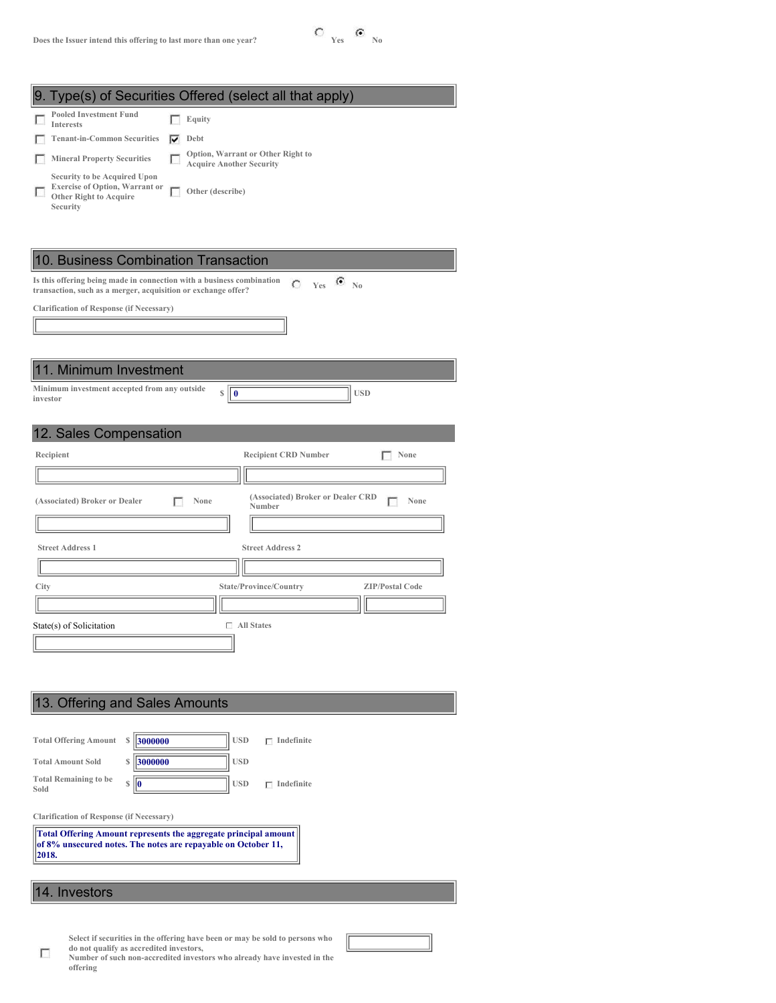

|                                                                                                                    |   | . Type(s) of Securities Offered (select all that apply)              |
|--------------------------------------------------------------------------------------------------------------------|---|----------------------------------------------------------------------|
| <b>Pooled Investment Fund</b><br><b>Interests</b>                                                                  |   | Equity                                                               |
| <b>Tenant-in-Common Securities</b>                                                                                 | ↜ | Debt                                                                 |
| <b>Mineral Property Securities</b>                                                                                 |   | Option, Warrant or Other Right to<br><b>Acquire Another Security</b> |
| Security to be Acquired Upon<br><b>Exercise of Option, Warrant or</b><br><b>Other Right to Acquire</b><br>Security |   | Other (describe)                                                     |

| 10. Business Combination Transaction                                                                                                   |                                                     |
|----------------------------------------------------------------------------------------------------------------------------------------|-----------------------------------------------------|
| Is this offering being made in connection with a business combination<br>transaction, such as a merger, acquisition or exchange offer? | $C$ Yes $C$ No                                      |
| <b>Clarification of Response (if Necessary)</b>                                                                                        |                                                     |
|                                                                                                                                        |                                                     |
|                                                                                                                                        |                                                     |
| 11. Minimum Investment                                                                                                                 |                                                     |
| Minimum investment accepted from any outside<br>$\mathbb{S} \parallel \mathbf{0}$<br>investor                                          | <b>USD</b>                                          |
| 12. Sales Compensation                                                                                                                 |                                                     |
| Recipient                                                                                                                              | <b>Recipient CRD Number</b><br>None                 |
|                                                                                                                                        |                                                     |
| (Associated) Broker or Dealer<br>None                                                                                                  | (Associated) Broker or Dealer CRD<br>None<br>Number |
|                                                                                                                                        |                                                     |
| <b>Street Address 1</b>                                                                                                                | <b>Street Address 2</b>                             |
|                                                                                                                                        |                                                     |
| City                                                                                                                                   | State/Province/Country<br><b>ZIP/Postal Code</b>    |
|                                                                                                                                        |                                                     |
| State(s) of Solicitation                                                                                                               | $\Box$ All States                                   |
|                                                                                                                                        |                                                     |

| <b>Total Amount Sold</b><br><b>Total Remaining to be</b><br>Sold | 3000000<br>S<br>S                                                                                                                | <b>USD</b><br><b>USD</b> | Indefinite |
|------------------------------------------------------------------|----------------------------------------------------------------------------------------------------------------------------------|--------------------------|------------|
| <b>Clarification of Response (if Necessary)</b><br>2018.         | Total Offering Amount represents the aggregate principal amount<br>of 8% unsecured notes. The notes are repayable on October 11, |                          |            |

# 14. Investors

 $\Box$ 

Select if securities in the offering have been or may be sold to persons who do not qualify as accredited investors,

|          | Number of such non-accredited investors who already have invested in the |  |  |  |  |
|----------|--------------------------------------------------------------------------|--|--|--|--|
| offering |                                                                          |  |  |  |  |